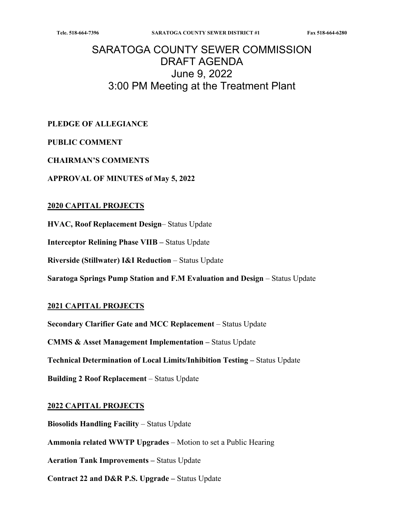# SARATOGA COUNTY SEWER COMMISSION DRAFT AGENDA June 9, 2022 3:00 PM Meeting at the Treatment Plant

**PLEDGE OF ALLEGIANCE** 

### **PUBLIC COMMENT**

#### **CHAIRMAN'S COMMENTS**

**APPROVAL OF MINUTES of May 5, 2022** 

#### **2020 CAPITAL PROJECTS**

**HVAC, Roof Replacement Design**– Status Update

**Interceptor Relining Phase VIIB – Status Update** 

**Riverside (Stillwater) I&I Reduction** – Status Update

**Saratoga Springs Pump Station and F.M Evaluation and Design – Status Update** 

### **2021 CAPITAL PROJECTS**

**Secondary Clarifier Gate and MCC Replacement** – Status Update **CMMS & Asset Management Implementation –** Status Update

**Technical Determination of Local Limits/Inhibition Testing –** Status Update

**Building 2 Roof Replacement** – Status Update

### **2022 CAPITAL PROJECTS**

**Biosolids Handling Facility – Status Update Ammonia related WWTP Upgrades** – Motion to set a Public Hearing **Aeration Tank Improvements –** Status Update **Contract 22 and D&R P.S. Upgrade –** Status Update